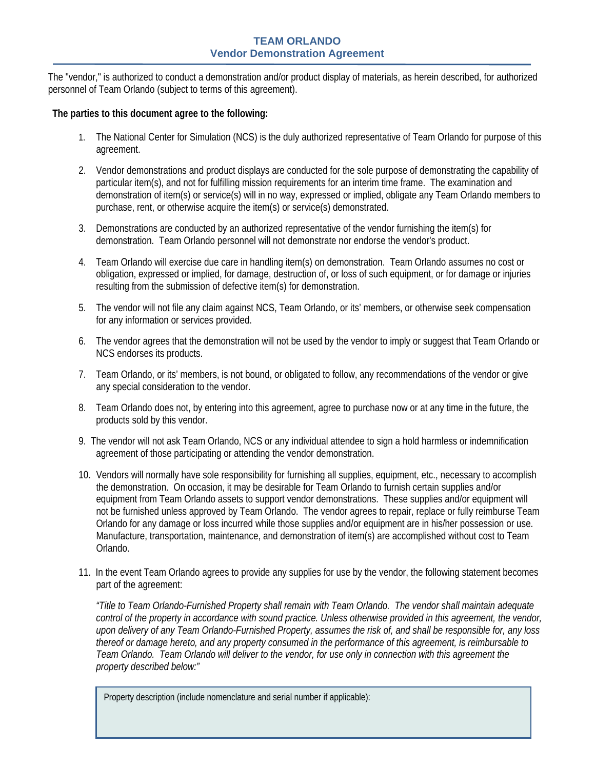## **TEAM ORLANDO Vendor Demonstration Agreement**

The "vendor," is authorized to conduct a demonstration and/or product display of materials, as herein described, for authorized personnel of Team Orlando (subject to terms of this agreement).

## **The parties to this document agree to the following:**

- 1. The National Center for Simulation (NCS) is the duly authorized representative of Team Orlando for purpose of this agreement.
- 2. Vendor demonstrations and product displays are conducted for the sole purpose of demonstrating the capability of particular item(s), and not for fulfilling mission requirements for an interim time frame. The examination and demonstration of item(s) or service(s) will in no way, expressed or implied, obligate any Team Orlando members to purchase, rent, or otherwise acquire the item(s) or service(s) demonstrated.
- 3. Demonstrations are conducted by an authorized representative of the vendor furnishing the item(s) for demonstration. Team Orlando personnel will not demonstrate nor endorse the vendor's product.
- 4. Team Orlando will exercise due care in handling item(s) on demonstration. Team Orlando assumes no cost or obligation, expressed or implied, for damage, destruction of, or loss of such equipment, or for damage or injuries resulting from the submission of defective item(s) for demonstration.
- 5. The vendor will not file any claim against NCS, Team Orlando, or its' members, or otherwise seek compensation for any information or services provided.
- 6. The vendor agrees that the demonstration will not be used by the vendor to imply or suggest that Team Orlando or NCS endorses its products.
- 7. Team Orlando, or its' members, is not bound, or obligated to follow, any recommendations of the vendor or give any special consideration to the vendor.
- 8. Team Orlando does not, by entering into this agreement, agree to purchase now or at any time in the future, the products sold by this vendor.
- 9. The vendor will not ask Team Orlando, NCS or any individual attendee to sign a hold harmless or indemnification agreement of those participating or attending the vendor demonstration.
- 10. Vendors will normally have sole responsibility for furnishing all supplies, equipment, etc., necessary to accomplish the demonstration. On occasion, it may be desirable for Team Orlando to furnish certain supplies and/or equipment from Team Orlando assets to support vendor demonstrations. These supplies and/or equipment will not be furnished unless approved by Team Orlando. The vendor agrees to repair, replace or fully reimburse Team Orlando for any damage or loss incurred while those supplies and/or equipment are in his/her possession or use. Manufacture, transportation, maintenance, and demonstration of item(s) are accomplished without cost to Team Orlando.
- 11. In the event Team Orlando agrees to provide any supplies for use by the vendor, the following statement becomes part of the agreement:

 *"Title to Team Orlando-Furnished Property shall remain with Team Orlando. The vendor shall maintain adequate control of the property in accordance with sound practice. Unless otherwise provided in this agreement, the vendor, upon delivery of any Team Orlando-Furnished Property, assumes the risk of, and shall be responsible for, any loss thereof or damage hereto, and any property consumed in the performance of this agreement, is reimbursable to Team Orlando. Team Orlando will deliver to the vendor, for use only in connection with this agreement the property described below:"* 

Property description (include nomenclature and serial number if applicable):